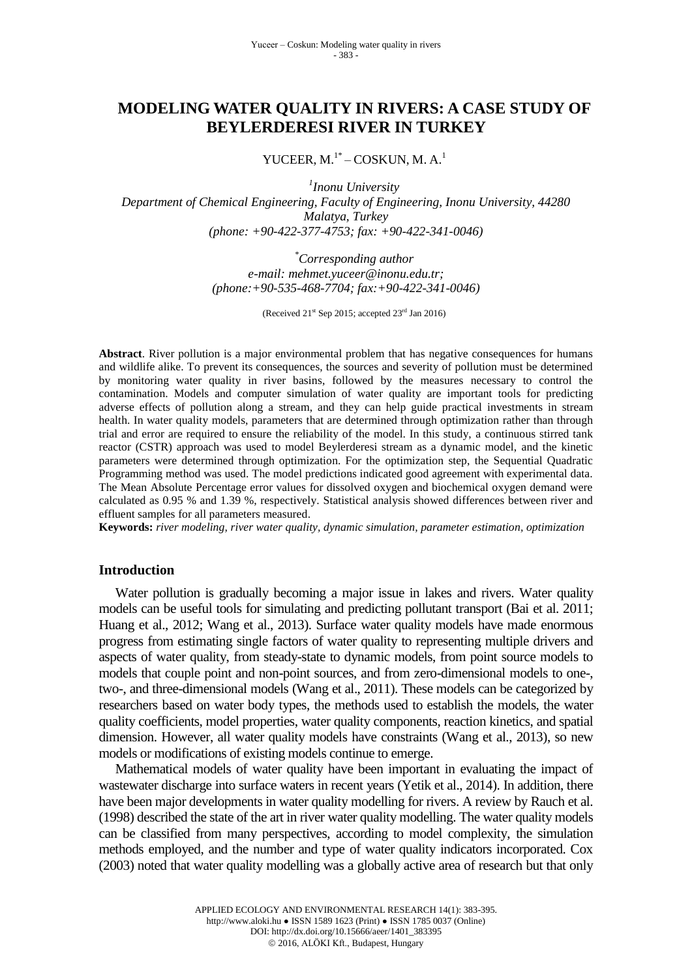# **MODELING WATER QUALITY IN RIVERS: A CASE STUDY OF BEYLERDERESI RIVER IN TURKEY**

YUCEER, M.<sup>1\*</sup> – COSKUN, M. A.<sup>1</sup>

*1 Inonu University Department of Chemical Engineering, Faculty of Engineering, Inonu University, 44280 Malatya, Turkey (phone: +90-422-377-4753; fax: +90-422-341-0046)*

> *\*Corresponding author e-mail: [mehmet.yuceer@inonu.edu.tr;](mailto:mehmet.yuceer@inonu.edu.tr) (phone:+90-535-468-7704; fax:+90-422-341-0046)*

> > (Received  $21<sup>st</sup>$  Sep 2015; accepted  $23<sup>rd</sup>$  Jan 2016)

**Abstract**. River pollution is a major environmental problem that has negative consequences for humans and wildlife alike. To prevent its consequences, the sources and severity of pollution must be determined by monitoring water quality in river basins, followed by the measures necessary to control the contamination. Models and computer simulation of water quality are important tools for predicting adverse effects of pollution along a stream, and they can help guide practical investments in stream health. In water quality models, parameters that are determined through optimization rather than through trial and error are required to ensure the reliability of the model. In this study, a continuous stirred tank reactor (CSTR) approach was used to model Beylerderesi stream as a dynamic model, and the kinetic parameters were determined through optimization. For the optimization step, the Sequential Quadratic Programming method was used. The model predictions indicated good agreement with experimental data. The Mean Absolute Percentage error values for dissolved oxygen and biochemical oxygen demand were calculated as 0.95 % and 1.39 %, respectively. Statistical analysis showed differences between river and effluent samples for all parameters measured.

**Keywords:** *river modeling, river water quality, dynamic simulation, parameter estimation, optimization*

#### **Introduction**

Water pollution is gradually becoming a major issue in lakes and rivers. Water quality models can be useful tools for simulating and predicting pollutant transport (Bai et al. 2011; Huang et al., 2012; Wang et al., 2013). Surface water quality models have made enormous progress from estimating single factors of water quality to representing multiple drivers and aspects of water quality, from steady-state to dynamic models, from point source models to models that couple point and non-point sources, and from zero-dimensional models to one-, two-, and three-dimensional models (Wang et al., 2011). These models can be categorized by researchers based on water body types, the methods used to establish the models, the water quality coefficients, model properties, water quality components, reaction kinetics, and spatial dimension. However, all water quality models have constraints (Wang et al., 2013), so new models or modifications of existing models continue to emerge.

Mathematical models of water quality have been important in evaluating the impact of wastewater discharge into surface waters in recent years (Yetik et al., 2014). In addition, there have been major developments in water quality modelling for rivers. A review by Rauch et al. (1998) described the state of the art in river water quality modelling. The water quality models can be classified from many perspectives, according to model complexity, the simulation methods employed, and the number and type of water quality indicators incorporated. Cox (2003) noted that water quality modelling was a globally active area of research but that only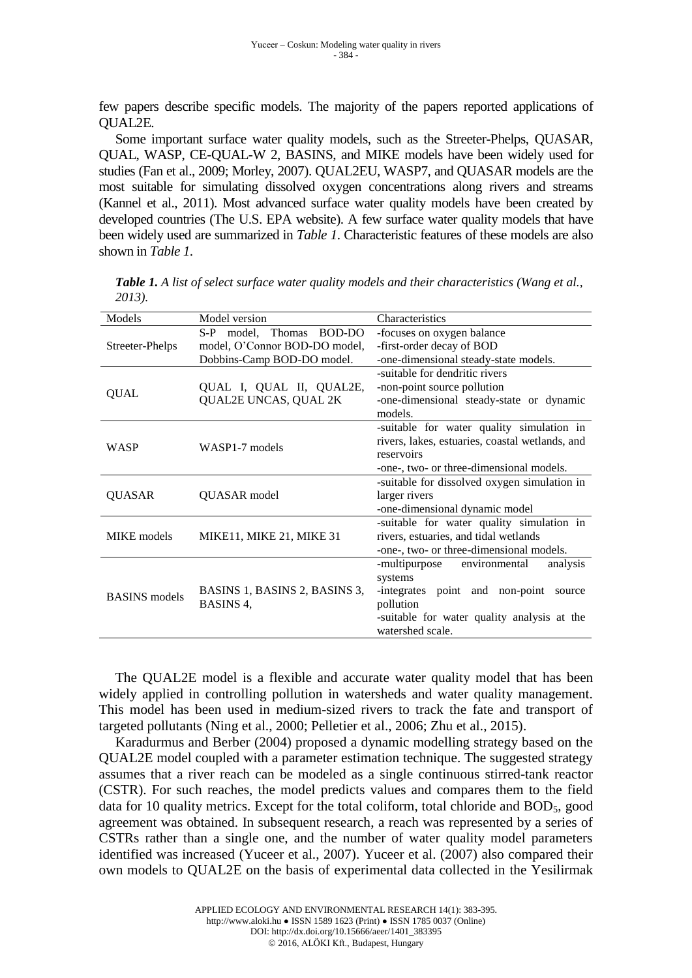few papers describe specific models. The majority of the papers reported applications of QUAL2E.

Some important surface water quality models, such as the Streeter-Phelps, QUASAR, QUAL, WASP, CE-QUAL-W 2, BASINS, and MIKE models have been widely used for studies (Fan et al., 2009; Morley, 2007). QUAL2EU, WASP7, and QUASAR models are the most suitable for simulating dissolved oxygen concentrations along rivers and streams (Kannel et al., 2011). Most advanced surface water quality models have been created by developed countries (The U.S. EPA website). A few surface water quality models that have been widely used are summarized in *Table 1*. Characteristic features of these models are also shown in *Table 1*.

| Models               | Model version                              | Characteristics                                 |  |  |
|----------------------|--------------------------------------------|-------------------------------------------------|--|--|
| Streeter-Phelps      | $S-P$<br>model, Thomas BOD-DO              | -focuses on oxygen balance                      |  |  |
|                      | model, O'Connor BOD-DO model,              | -first-order decay of BOD                       |  |  |
|                      | Dobbins-Camp BOD-DO model.                 | -one-dimensional steady-state models.           |  |  |
|                      |                                            | -suitable for dendritic rivers                  |  |  |
| <b>QUAL</b>          | QUAL I, QUAL II, QUAL2E,                   | -non-point source pollution                     |  |  |
|                      | QUAL2E UNCAS, QUAL 2K                      | -one-dimensional steady-state or dynamic        |  |  |
|                      |                                            | models.                                         |  |  |
| <b>WASP</b>          |                                            | -suitable for water quality simulation in       |  |  |
|                      | WASP1-7 models                             | rivers, lakes, estuaries, coastal wetlands, and |  |  |
|                      |                                            | reservoirs                                      |  |  |
|                      |                                            | -one-, two- or three-dimensional models.        |  |  |
|                      | QUASAR model                               | -suitable for dissolved oxygen simulation in    |  |  |
| QUASAR               |                                            | larger rivers                                   |  |  |
|                      |                                            | -one-dimensional dynamic model                  |  |  |
|                      |                                            | -suitable for water quality simulation in       |  |  |
| <b>MIKE</b> models   | MIKE11, MIKE 21, MIKE 31                   | rivers, estuaries, and tidal wetlands           |  |  |
|                      |                                            | -one-, two- or three-dimensional models.        |  |  |
| <b>BASINS</b> models | BASINS 1, BASINS 2, BASINS 3,<br>BASINS 4, | -multipurpose environmental<br>analysis         |  |  |
|                      |                                            | systems                                         |  |  |
|                      |                                            | integrates point and non-point<br>source        |  |  |
|                      |                                            | pollution                                       |  |  |
|                      |                                            | -suitable for water quality analysis at the     |  |  |
|                      |                                            | watershed scale.                                |  |  |
|                      |                                            |                                                 |  |  |

*Table 1. A list of select surface water quality models and their characteristics (Wang et al., 2013).*

The QUAL2E model is a flexible and accurate water quality model that has been widely applied in controlling pollution in watersheds and water quality management. This model has been used in medium-sized rivers to track the fate and transport of targeted pollutants (Ning et al., 2000; Pelletier et al., 2006; Zhu et al., 2015).

Karadurmus and Berber (2004) proposed a dynamic modelling strategy based on the QUAL2E model coupled with a parameter estimation technique. The suggested strategy assumes that a river reach can be modeled as a single continuous stirred-tank reactor (CSTR). For such reaches, the model predicts values and compares them to the field data for 10 quality metrics. Except for the total coliform, total chloride and  $BOD<sub>5</sub>$ , good agreement was obtained. In subsequent research, a reach was represented by a series of CSTRs rather than a single one, and the number of water quality model parameters identified was increased (Yuceer et al., 2007). Yuceer et al. (2007) also compared their own models to QUAL2E on the basis of experimental data collected in the Yesilirmak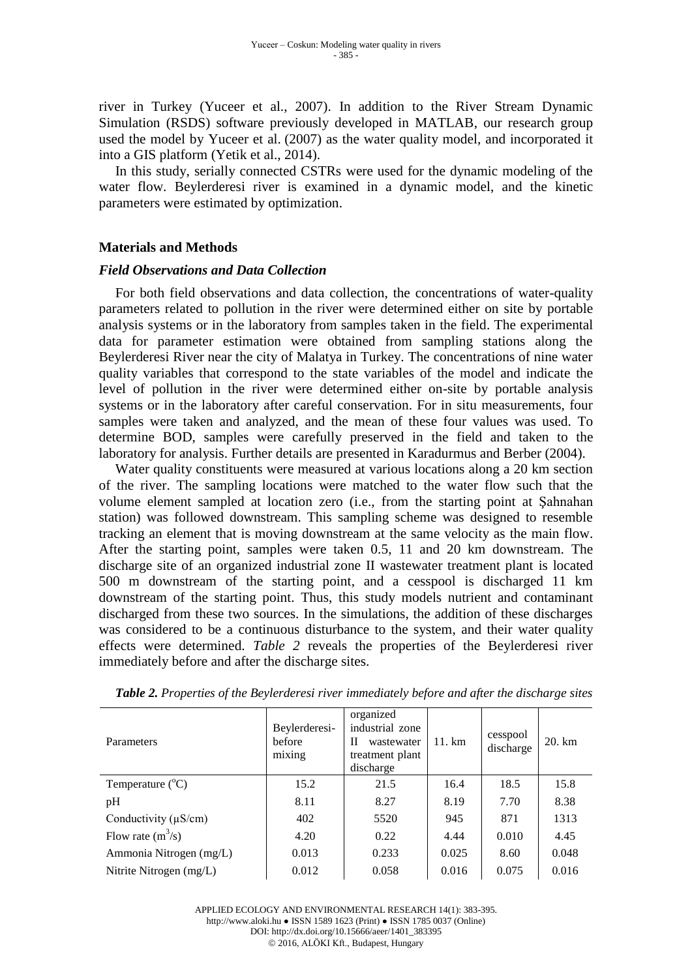river in Turkey (Yuceer et al., 2007). In addition to the River Stream Dynamic Simulation (RSDS) software previously developed in MATLAB, our research group used the model by Yuceer et al. (2007) as the water quality model, and incorporated it into a GIS platform (Yetik et al., 2014).

In this study, serially connected CSTRs were used for the dynamic modeling of the water flow. Beylerderesi river is examined in a dynamic model, and the kinetic parameters were estimated by optimization.

## **Materials and Methods**

## *Field Observations and Data Collection*

For both field observations and data collection, the concentrations of water-quality parameters related to pollution in the river were determined either on site by portable analysis systems or in the laboratory from samples taken in the field. The experimental data for parameter estimation were obtained from sampling stations along the Beylerderesi River near the city of Malatya in Turkey. The concentrations of nine water quality variables that correspond to the state variables of the model and indicate the level of pollution in the river were determined either on-site by portable analysis systems or in the laboratory after careful conservation. For in situ measurements, four samples were taken and analyzed, and the mean of these four values was used. To determine BOD, samples were carefully preserved in the field and taken to the laboratory for analysis. Further details are presented in Karadurmus and Berber (2004).

Water quality constituents were measured at various locations along a 20 km section of the river. The sampling locations were matched to the water flow such that the volume element sampled at location zero (i.e., from the starting point at Şahnahan station) was followed downstream. This sampling scheme was designed to resemble tracking an element that is moving downstream at the same velocity as the main flow. After the starting point, samples were taken 0.5, 11 and 20 km downstream. The discharge site of an organized industrial zone II wastewater treatment plant is located 500 m downstream of the starting point, and a cesspool is discharged 11 km downstream of the starting point. Thus, this study models nutrient and contaminant discharged from these two sources. In the simulations, the addition of these discharges was considered to be a continuous disturbance to the system, and their water quality effects were determined. *Table 2* reveals the properties of the Beylerderesi river immediately before and after the discharge sites.

| <b>Parameters</b>         | Beylerderesi-<br>before<br>mixing | organized<br>industrial zone<br>П<br>wastewater<br>treatment plant<br>discharge | $11. \text{ km}$ | cesspool<br>discharge | 20. km |
|---------------------------|-----------------------------------|---------------------------------------------------------------------------------|------------------|-----------------------|--------|
| Temperature $(^{\circ}C)$ | 15.2                              | 21.5                                                                            | 16.4             | 18.5                  | 15.8   |
| pH                        | 8.11                              | 8.27                                                                            | 8.19             | 7.70                  | 8.38   |
| Conductivity $(\mu S/cm)$ | 402                               | 5520                                                                            | 945              | 871                   | 1313   |
| Flow rate $(m^3/s)$       | 4.20                              | 0.22                                                                            | 4.44             | 0.010                 | 4.45   |
| Ammonia Nitrogen (mg/L)   | 0.013                             | 0.233                                                                           | 0.025            | 8.60                  | 0.048  |
| Nitrite Nitrogen (mg/L)   | 0.012                             | 0.058                                                                           | 0.016            | 0.075                 | 0.016  |

*Table 2. Properties of the Beylerderesi river immediately before and after the discharge sites*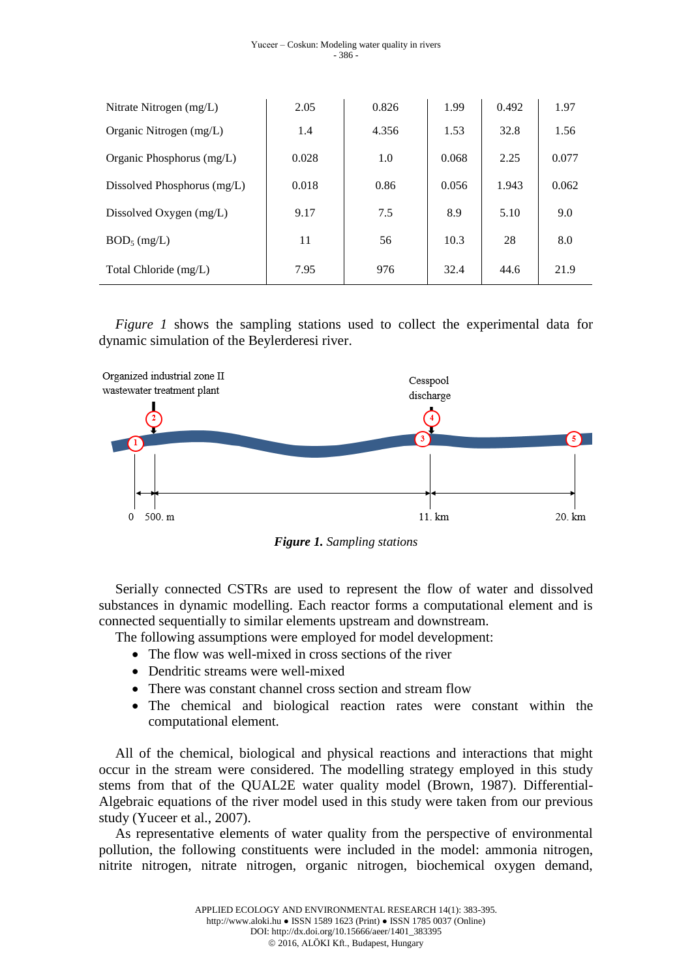| Nitrate Nitrogen $(mg/L)$     | 2.05  | 0.826 | 1.99  | 0.492 | 1.97  |
|-------------------------------|-------|-------|-------|-------|-------|
| Organic Nitrogen (mg/L)       | 1.4   | 4.356 | 1.53  | 32.8  | 1.56  |
| Organic Phosphorus (mg/L)     | 0.028 | 1.0   | 0.068 | 2.25  | 0.077 |
| Dissolved Phosphorus $(mg/L)$ | 0.018 | 0.86  | 0.056 | 1.943 | 0.062 |
| Dissolved Oxygen (mg/L)       | 9.17  | 7.5   | 8.9   | 5.10  | 9.0   |
| $BOD_5$ (mg/L)                | 11    | 56    | 10.3  | 28    | 8.0   |
| Total Chloride (mg/L)         | 7.95  | 976   | 32.4  | 44.6  | 21.9  |

*Figure 1* shows the sampling stations used to collect the experimental data for dynamic simulation of the Beylerderesi river.



*Figure 1. Sampling stations*

Serially connected CSTRs are used to represent the flow of water and dissolved substances in dynamic modelling. Each reactor forms a computational element and is connected sequentially to similar elements upstream and downstream.

The following assumptions were employed for model development:

- The flow was well-mixed in cross sections of the river
- Dendritic streams were well-mixed
- There was constant channel cross section and stream flow
- The chemical and biological reaction rates were constant within the computational element.

All of the chemical, biological and physical reactions and interactions that might occur in the stream were considered. The modelling strategy employed in this study stems from that of the QUAL2E water quality model (Brown, 1987). Differential-Algebraic equations of the river model used in this study were taken from our previous study (Yuceer et al., 2007).

As representative elements of water quality from the perspective of environmental pollution, the following constituents were included in the model: ammonia nitrogen, nitrite nitrogen, nitrate nitrogen, organic nitrogen, biochemical oxygen demand,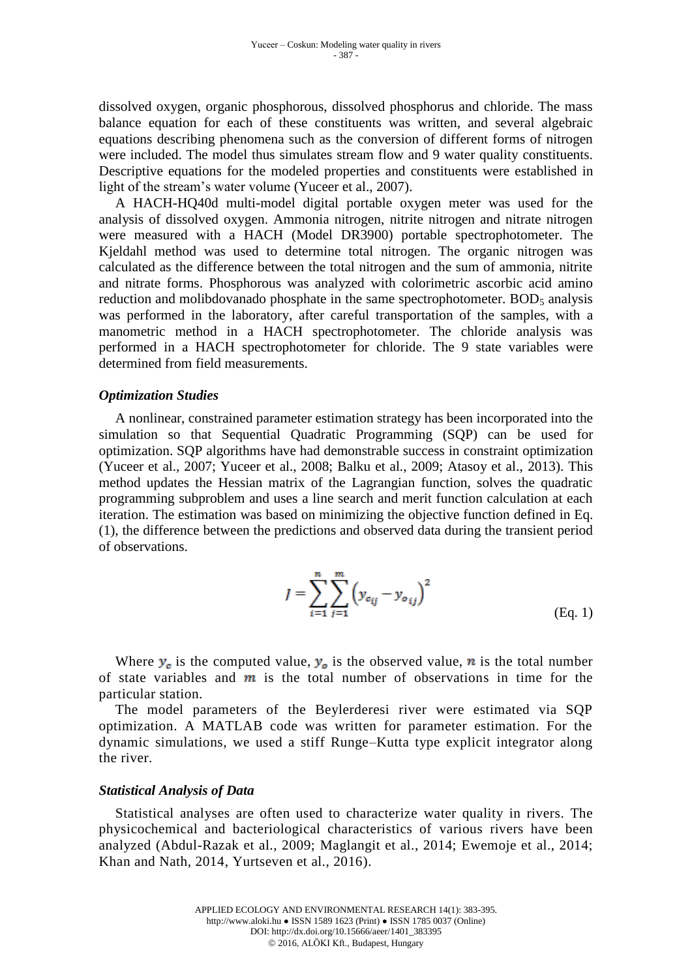dissolved oxygen, organic phosphorous, dissolved phosphorus and chloride. The mass balance equation for each of these constituents was written, and several algebraic equations describing phenomena such as the conversion of different forms of nitrogen were included. The model thus simulates stream flow and 9 water quality constituents. Descriptive equations for the modeled properties and constituents were established in light of the stream's water volume (Yuceer et al., 2007).

A HACH-HQ40d multi-model digital portable oxygen meter was used for the analysis of dissolved oxygen. Ammonia nitrogen, nitrite nitrogen and nitrate nitrogen were measured with a HACH (Model DR3900) portable spectrophotometer. The Kjeldahl method was used to determine total nitrogen. The organic nitrogen was calculated as the difference between the total nitrogen and the sum of ammonia, nitrite and nitrate forms. Phosphorous was analyzed with colorimetric ascorbic acid amino reduction and molibdovanado phosphate in the same spectrophotometer.  $BOD<sub>5</sub>$  analysis was performed in the laboratory, after careful transportation of the samples, with a manometric method in a HACH spectrophotometer. The chloride analysis was performed in a HACH spectrophotometer for chloride. The 9 state variables were determined from field measurements.

## *Optimization Studies*

A nonlinear, constrained parameter estimation strategy has been incorporated into the simulation so that Sequential Quadratic Programming (SQP) can be used for optimization. SQP algorithms have had demonstrable success in constraint optimization (Yuceer et al., 2007; Yuceer et al., 2008; Balku et al., 2009; Atasoy et al., 2013). This method updates the Hessian matrix of the Lagrangian function, solves the quadratic programming subproblem and uses a line search and merit function calculation at each iteration. The estimation was based on minimizing the objective function defined in Eq. (1), the difference between the predictions and observed data during the transient period of observations.

$$
J = \sum_{i=1}^{n} \sum_{j=1}^{m} (y_{c_{ij}} - y_{o_{ij}})^{2}
$$
 (Eq. 1)

Where  $y_c$  is the computed value,  $y_o$  is the observed value, n is the total number of state variables and  $m$  is the total number of observations in time for the particular station.

The model parameters of the Beylerderesi river were estimated via SQP optimization. A MATLAB code was written for parameter estimation. For the dynamic simulations, we used a stiff Runge–Kutta type explicit integrator along the river.

## *Statistical Analysis of Data*

Statistical analyses are often used to characterize water quality in rivers. The physicochemical and bacteriological characteristics of various rivers have been analyzed (Abdul-Razak et al., 2009; Maglangit et al., 2014; Ewemoje et al., 2014; Khan and Nath, 2014, Yurtseven et al., 2016).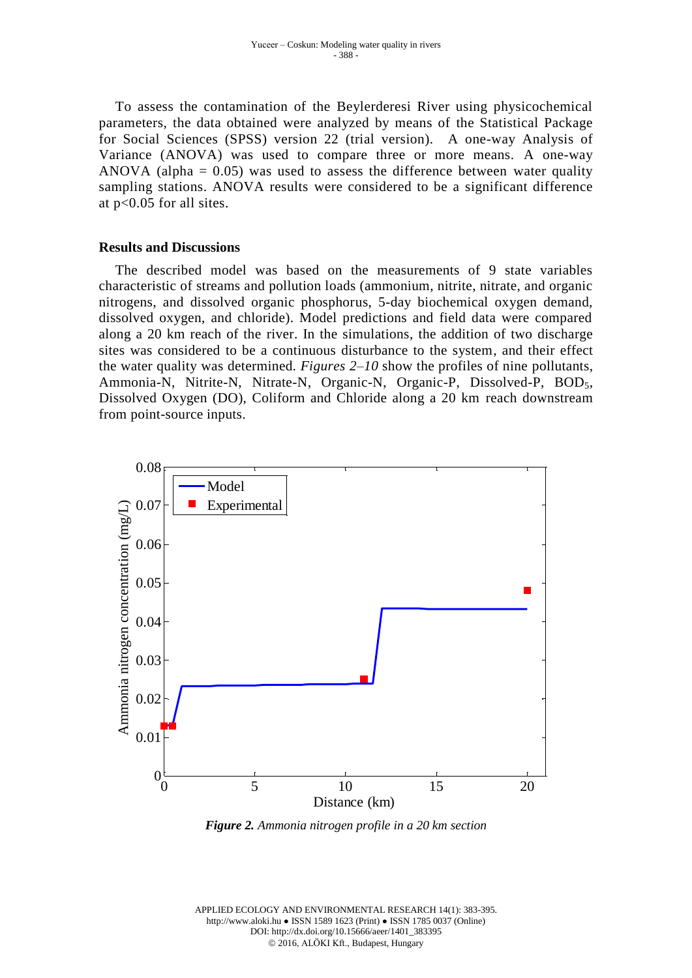To assess the contamination of the Beylerderesi River using physicochemical parameters, the data obtained were analyzed by means of the Statistical Package for Social Sciences (SPSS) version 22 (trial version). A one-way Analysis of Variance (ANOVA) was used to compare three or more means. A one-way ANOVA (alpha  $= 0.05$ ) was used to assess the difference between water quality sampling stations. ANOVA results were considered to be a significant difference at p<0.05 for all sites.

## **Results and Discussions**

The described model was based on the measurements of 9 state variables characteristic of streams and pollution loads (ammonium, nitrite, nitrate, and organic nitrogens, and dissolved organic phosphorus, 5-day biochemical oxygen demand, dissolved oxygen, and chloride). Model predictions and field data were compared along a 20 km reach of the river. In the simulations, the addition of two discharge sites was considered to be a continuous disturbance to the system, and their effect the water quality was determined. *Figures 2–10* show the profiles of nine pollutants, Ammonia-N, Nitrite-N, Nitrate-N, Organic-N, Organic-P, Dissolved-P, BOD<sub>5</sub>, Dissolved Oxygen (DO), Coliform and Chloride along a 20 km reach downstream from point-source inputs.



*Figure 2. Ammonia nitrogen profile in a 20 km section*

APPLIED ECOLOGY AND ENVIRONMENTAL RESEARCH 14(1): 383-395. http://www.aloki.hu ● ISSN 1589 1623 (Print) ● ISSN 1785 0037 (Online) DOI: http://dx.doi.org/10.15666/aeer/1401\_383395 2016, ALÖKI Kft., Budapest, Hungary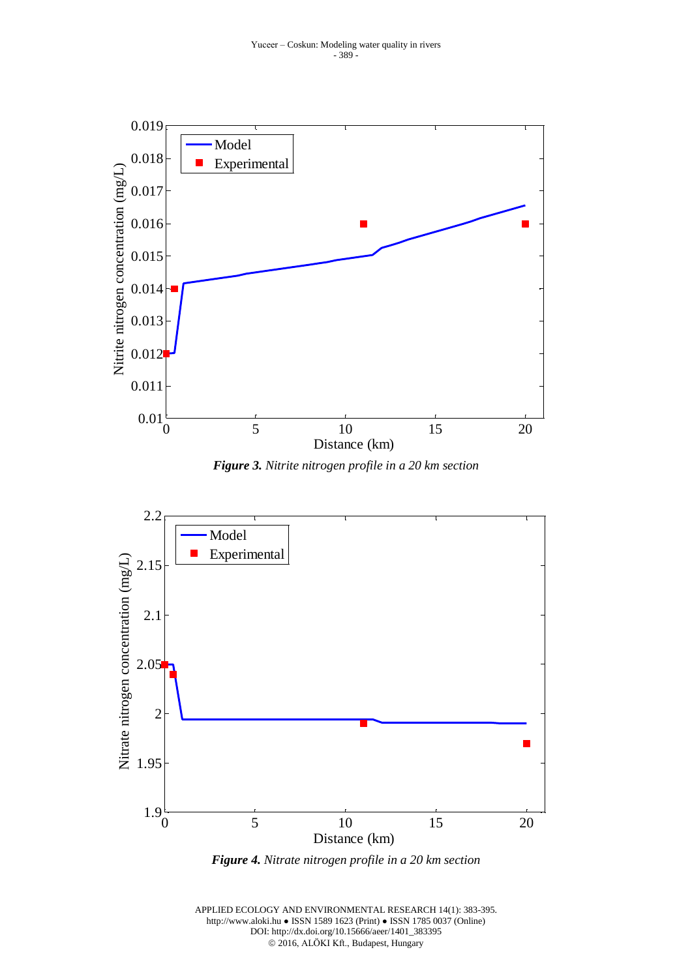

*Figure 3. Nitrite nitrogen profile in a 20 km section*



*Figure 4. Nitrate nitrogen profile in a 20 km section*

APPLIED ECOLOGY AND ENVIRONMENTAL RESEARCH 14(1): 383-395. http://www.aloki.hu ● ISSN 1589 1623 (Print) ● ISSN 1785 0037 (Online) DOI: http://dx.doi.org/10.15666/aeer/1401\_383395 2016, ALÖKI Kft., Budapest, Hungary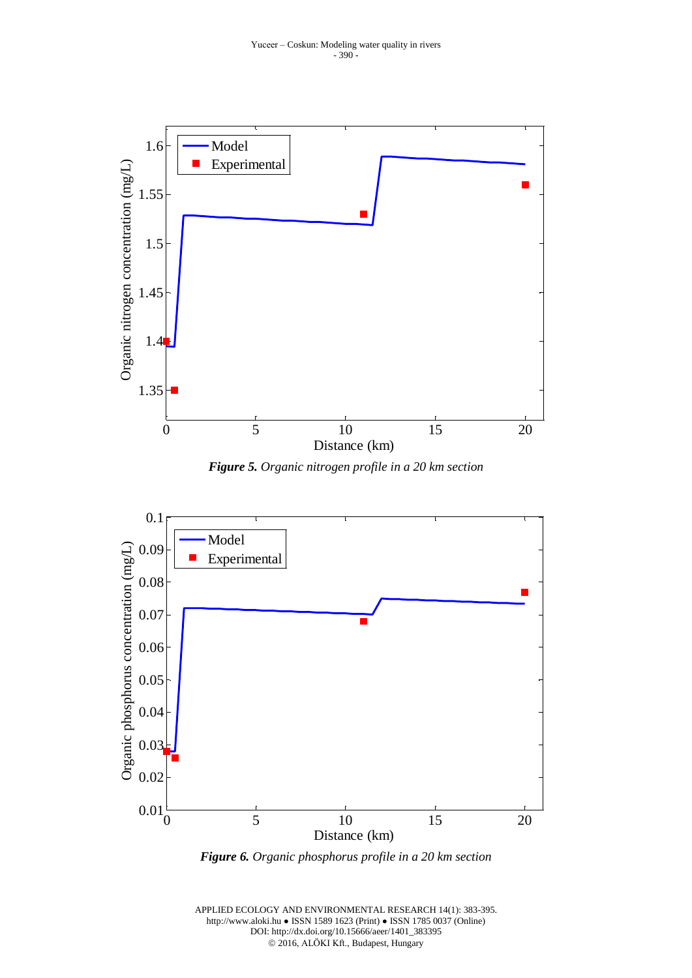

*Figure 5. Organic nitrogen profile in a 20 km section*



*Figure 6. Organic phosphorus profile in a 20 km section*

APPLIED ECOLOGY AND ENVIRONMENTAL RESEARCH 14(1): 383-395. http://www.aloki.hu ● ISSN 1589 1623 (Print) ● ISSN 1785 0037 (Online) DOI: http://dx.doi.org/10.15666/aeer/1401\_383395 2016, ALÖKI Kft., Budapest, Hungary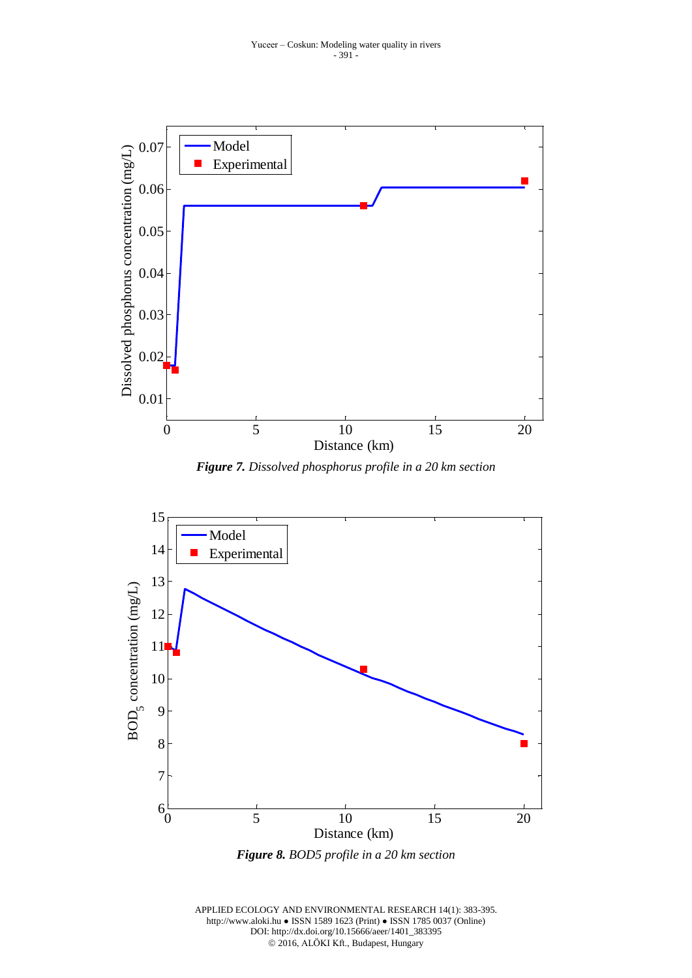![](_page_8_Figure_1.jpeg)

*Figure 7. Dissolved phosphorus profile in a 20 km section*

![](_page_8_Figure_3.jpeg)

*Figure 8. BOD5 profile in a 20 km section*

![](_page_8_Figure_5.jpeg)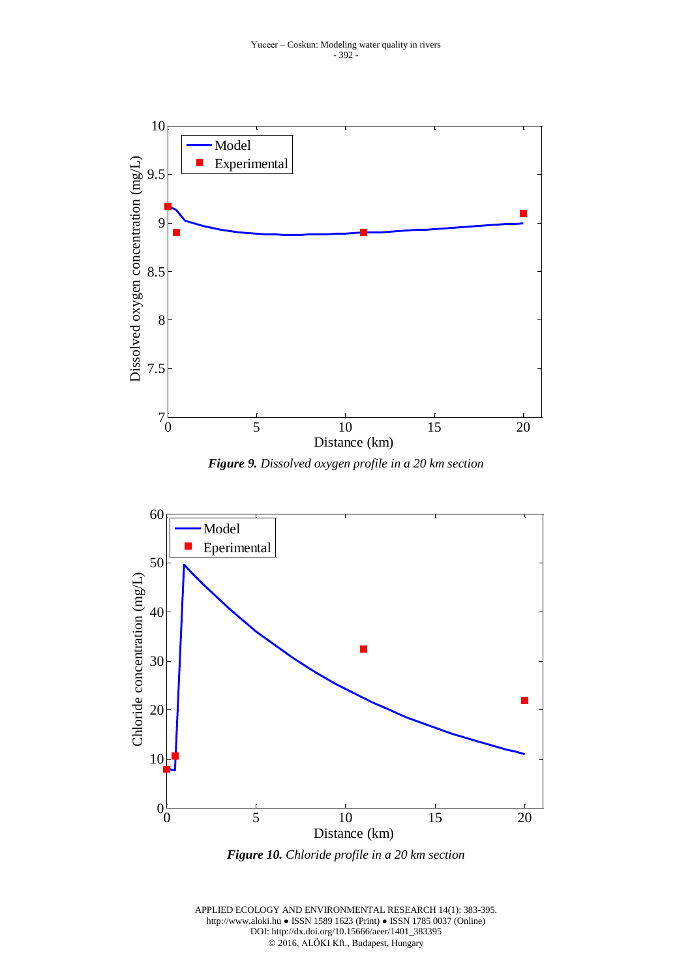![](_page_9_Figure_1.jpeg)

*Figure 9. Dissolved oxygen profile in a 20 km section*

![](_page_9_Figure_3.jpeg)

*Figure 10. Chloride profile in a 20 km section*

APPLIED ECOLOGY AND ENVIRONMENTAL RESEARCH 14(1): 383-395. http://www.aloki.hu ● ISSN 1589 1623 (Print) ● ISSN 1785 0037 (Online) DOI: http://dx.doi.org/10.15666/aeer/1401\_383395 2016, ALÖKI Kft., Budapest, Hungary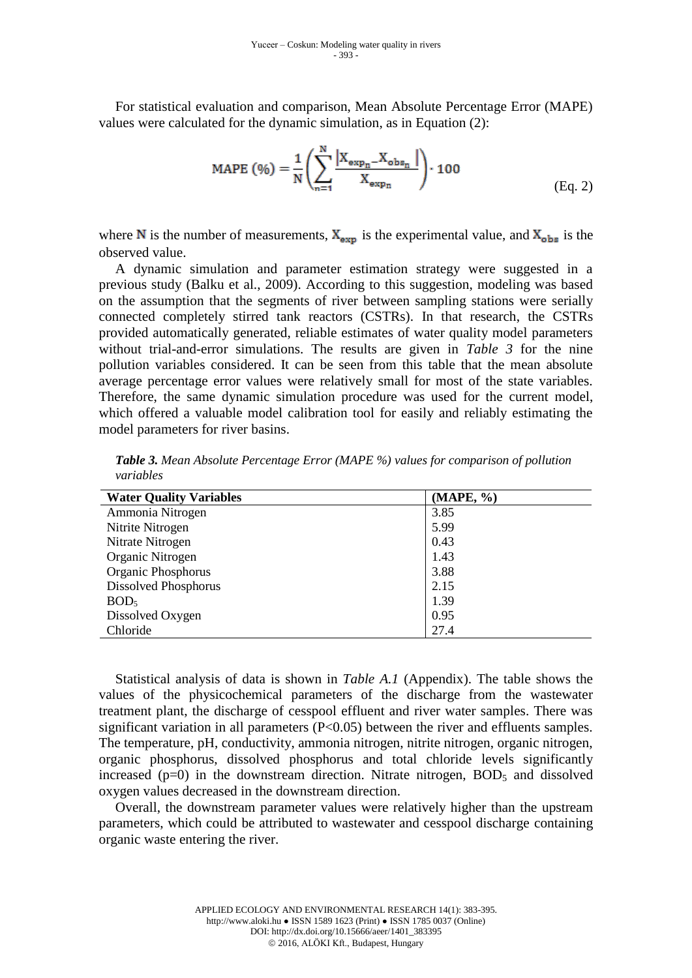For statistical evaluation and comparison, Mean Absolute Percentage Error (MAPE) values were calculated for the dynamic simulation, as in Equation (2):

$$
MAPE (%) = \frac{1}{N} \left( \sum_{n=1}^{N} \frac{|X_{exp_n} - X_{obs_n}|}{X_{exp_n}} \right) \cdot 100
$$
 (Eq. 2)

where N is the number of measurements,  $X_{\text{exp}}$  is the experimental value, and  $X_{\text{obs}}$  is the observed value.

A dynamic simulation and parameter estimation strategy were suggested in a previous study (Balku et al., 2009). According to this suggestion, modeling was based on the assumption that the segments of river between sampling stations were serially connected completely stirred tank reactors (CSTRs). In that research, the CSTRs provided automatically generated, reliable estimates of water quality model parameters without trial-and-error simulations. The results are given in *Table 3* for the nine pollution variables considered. It can be seen from this table that the mean absolute average percentage error values were relatively small for most of the state variables. Therefore, the same dynamic simulation procedure was used for the current model, which offered a valuable model calibration tool for easily and reliably estimating the model parameters for river basins.

*Table 3. Mean Absolute Percentage Error (MAPE %) values for comparison of pollution variables*

| (MAPE, %) |
|-----------|
|           |
|           |
|           |
|           |
|           |
|           |
|           |
|           |
|           |
|           |

Statistical analysis of data is shown in *Table A.1* (Appendix). The table shows the values of the physicochemical parameters of the discharge from the wastewater treatment plant, the discharge of cesspool effluent and river water samples. There was significant variation in all parameters  $(P<0.05)$  between the river and effluents samples. The temperature, pH, conductivity, ammonia nitrogen, nitrite nitrogen, organic nitrogen, organic phosphorus, dissolved phosphorus and total chloride levels significantly increased  $(p=0)$  in the downstream direction. Nitrate nitrogen,  $BOD<sub>5</sub>$  and dissolved oxygen values decreased in the downstream direction.

Overall, the downstream parameter values were relatively higher than the upstream parameters, which could be attributed to wastewater and cesspool discharge containing organic waste entering the river.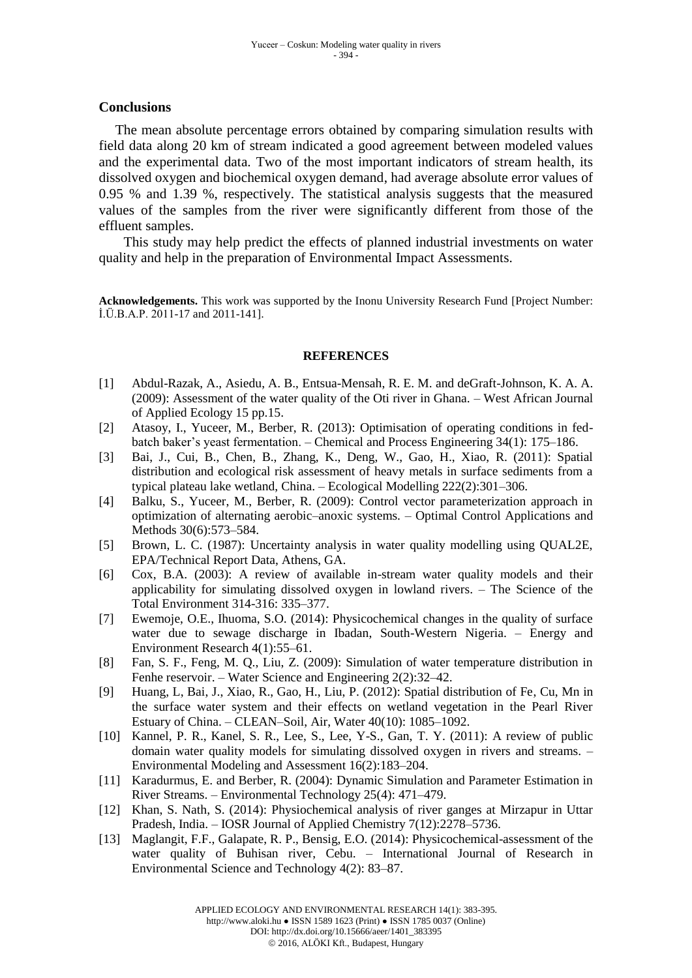### **Conclusions**

The mean absolute percentage errors obtained by comparing simulation results with field data along 20 km of stream indicated a good agreement between modeled values and the experimental data. Two of the most important indicators of stream health, its dissolved oxygen and biochemical oxygen demand, had average absolute error values of 0.95 % and 1.39 %, respectively. The statistical analysis suggests that the measured values of the samples from the river were significantly different from those of the effluent samples.

This study may help predict the effects of planned industrial investments on water quality and help in the preparation of Environmental Impact Assessments.

**Acknowledgements.** This work was supported by the Inonu University Research Fund [Project Number: İ.Ü.B.A.P. 2011-17 and 2011-141].

#### **REFERENCES**

- [1] Abdul-Razak, A., Asiedu, A. B., Entsua-Mensah, R. E. M. and deGraft-Johnson, K. A. A. (2009): Assessment of the water quality of the Oti river in Ghana. – West African Journal of Applied Ecology 15 pp.15.
- [2] Atasoy, I., Yuceer, M., Berber, R. (2013): Optimisation of operating conditions in fedbatch baker's yeast fermentation. – Chemical and Process Engineering 34(1): 175–186.
- [3] Bai, J., Cui, B., Chen, B., Zhang, K., Deng, W., Gao, H., Xiao, R. (2011): Spatial distribution and ecological risk assessment of heavy metals in surface sediments from a typical plateau lake wetland, China. – Ecological Modelling 222(2):301–306.
- [4] Balku, S., Yuceer, M., Berber, R. (2009): Control vector parameterization approach in optimization of alternating aerobic–anoxic systems. – Optimal Control Applications and Methods 30(6):573–584.
- [5] Brown, L. C. (1987): Uncertainty analysis in water quality modelling using QUAL2E, EPA/Technical Report Data, Athens, GA.
- [6] Cox, B.A. (2003): A review of available in-stream water quality models and their applicability for simulating dissolved oxygen in lowland rivers. – The Science of the Total Environment 314-316: 335–377.
- [7] Ewemoje, O.E., Ihuoma, S.O. (2014): Physicochemical changes in the quality of surface water due to sewage discharge in Ibadan, South-Western Nigeria. – Energy and Environment Research 4(1):55–61.
- [8] Fan, S. F., Feng, M. Q., Liu, Z. (2009): Simulation of water temperature distribution in Fenhe reservoir. – Water Science and Engineering 2(2):32–42.
- [9] Huang, L, Bai, J., Xiao, R., Gao, H., Liu, P. (2012): Spatial distribution of Fe, Cu, Mn in the surface water system and their effects on wetland vegetation in the Pearl River Estuary of China. – CLEAN–Soil, Air, Water 40(10): 1085–1092.
- [10] Kannel, P. R., Kanel, S. R., Lee, S., Lee, Y-S., Gan, T. Y. (2011): A review of public domain water quality models for simulating dissolved oxygen in rivers and streams. – Environmental Modeling and Assessment 16(2):183–204.
- [11] Karadurmus, E. and Berber, R. (2004): Dynamic Simulation and Parameter Estimation in River Streams. – Environmental Technology 25(4): 471–479.
- [12] Khan, S. Nath, S. (2014): Physiochemical analysis of river ganges at Mirzapur in Uttar Pradesh, India. – IOSR Journal of Applied Chemistry 7(12):2278–5736.
- [13] Maglangit, F.F., Galapate, R. P., Bensig, E.O. (2014): Physicochemical-assessment of the water quality of Buhisan river, Cebu. – International Journal of Research in Environmental Science and Technology 4(2): 83–87.